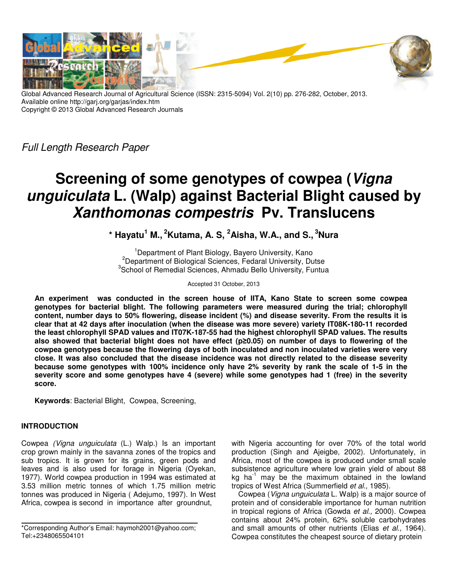

Global Advanced Research Journal of Agricultural Science (ISSN: 2315-5094) Vol. 2(10) pp. 276-282, October, 2013. Available online http://garj.org/garjas/index.htm Copyright © 2013 Global Advanced Research Journals

Full Length Research Paper

# **Screening of some genotypes of cowpea (Vigna unguiculata L. (Walp) against Bacterial Blight caused by Xanthomonas compestris Pv. Translucens**

**\* Hayatu<sup>1</sup> M.,<sup>2</sup>Kutama, A. S, <sup>2</sup>Aisha, W.A., and S.,<sup>3</sup>Nura** 

<sup>1</sup>Department of Plant Biology, Bayero University, Kano <sup>2</sup>Department of Biological Sciences, Fedaral University, Dutse <sup>3</sup>School of Remedial Sciences, Ahmadu Bello University, Funtua

Accepted 31 October, 2013

**An experiment was conducted in the screen house of IITA, Kano State to screen some cowpea genotypes for bacterial blight. The following parameters were measured during the trial; chlorophyll content, number days to 50% flowering, disease incident (%) and disease severity. From the results it is clear that at 42 days after inoculation (when the disease was more severe) variety IT08K-180-11 recorded the least chlorophyll SPAD values and IT07K-187-55 had the highest chlorophyll SPAD values. The results also showed that bacterial blight does not have effect (p≥0.05) on number of days to flowering of the cowpea genotypes because the flowering days of both inoculated and non inoculated varieties were very close. It was also concluded that the disease incidence was not directly related to the disease severity because some genotypes with 100% incidence only have 2% severity by rank the scale of 1-5 in the severity score and some genotypes have 4 (severe) while some genotypes had 1 (free) in the severity score.** 

**Keywords**: Bacterial Blight, Cowpea, Screening,

# **INTRODUCTION**

Cowpea (Vigna unguiculata (L.) Walp.) Is an important crop grown mainly in the savanna zones of the tropics and sub tropics. It is grown for its grains, green pods and leaves and is also used for forage in Nigeria (Oyekan, 1977). World cowpea production in 1994 was estimated at 3.53 million metric tonnes of which 1.75 million metric tonnes was produced in Nigeria ( Adejumo, 1997). In West Africa, cowpea is second in importance after groundnut,

with Nigeria accounting for over 70% of the total world production (Singh and Ajeigbe, 2002). Unfortunately, in Africa, most of the cowpea is produced under small scale subsistence agriculture where low grain yield of about 88 kg ha $^{-1}$  may be the maximum obtained in the lowland tropics of West Africa (Summerfield et al., 1985).

Cowpea (Vigna unguiculata L. Walp) is a major source of protein and of considerable importance for human nutrition in tropical regions of Africa (Gowda et al., 2000). Cowpea contains about 24% protein, 62% soluble carbohydrates and small amounts of other nutrients (Elias et al., 1964). Cowpea constitutes the cheapest source of dietary protein

<sup>\*</sup>Corresponding Author's Email: haymoh2001@yahoo.com; Tel:+2348065504101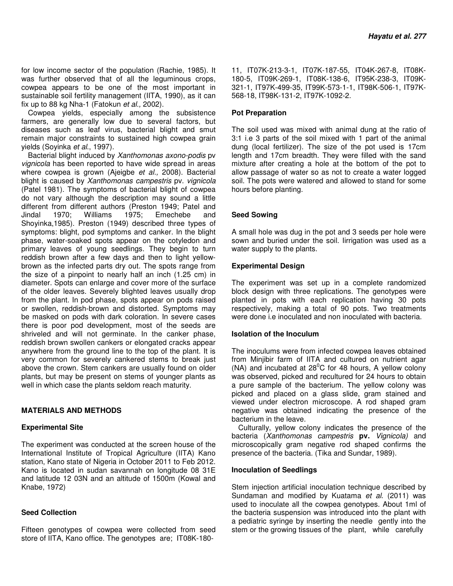for low income sector of the population (Rachie, 1985). It was further observed that of all the leguminous crops, cowpea appears to be one of the most important in sustainable soil fertility management (IITA, 1990), as it can fix up to 88 kg Nha-1 (Fatokun et al., 2002).

Cowpea yields, especially among the subsistence farmers, are generally low due to several factors, but diseases such as leaf virus, bacterial blight and smut remain major constraints to sustained high cowpea grain yields (Soyinka et al., 1997).

Bacterial blight induced by Xanthomonas axono-podis pv vignicola has been reported to have wide spread in areas where cowpea is grown (Ajeigbe et al., 2008). Bacterial blight is caused by Xanthomonas campestris pv. vignicola (Patel 1981). The symptoms of bacterial blight of cowpea do not vary although the description may sound a little different from different authors (Preston 1949; Patel and Jindal 1970; Williams 1975; Emechebe and Shoyinka,1985). Preston (1949) described three types of symptoms: blight, pod symptoms and canker. In the blight phase, water-soaked spots appear on the cotyledon and primary leaves of young seedlings. They begin to turn reddish brown after a few days and then to light yellowbrown as the infected parts dry out. The spots range from the size of a pinpoint to nearly half an inch (1.25 cm) in diameter. Spots can enlarge and cover more of the surface of the older leaves. Severely blighted leaves usually drop from the plant. In pod phase, spots appear on pods raised or swollen, reddish-brown and distorted. Symptoms may be masked on pods with dark coloration. In severe cases there is poor pod development, most of the seeds are shriveled and will not germinate. In the canker phase, reddish brown swollen cankers or elongated cracks appear anywhere from the ground line to the top of the plant. It is very common for severely cankered stems to break just above the crown. Stem cankers are usually found on older plants, but may be present on stems of younger plants as well in which case the plants seldom reach maturity.

## **MATERIALS AND METHODS**

## **Experimental Site**

The experiment was conducted at the screen house of the International Institute of Tropical Agriculture (IITA) Kano station, Kano state of Nigeria in October 2011 to Feb 2012. Kano is located in sudan savannah on longitude 08 31E and latitude 12 03N and an altitude of 1500m (Kowal and Knabe, 1972)

## **Seed Collection**

Fifteen genotypes of cowpea were collected from seed store of IITA, Kano office. The genotypes are; IT08K-18011, IT07K-213-3-1, IT07K-187-55, IT04K-267-8, IT08K-180-5, IT09K-269-1, IT08K-138-6, IT95K-238-3, IT09K-321-1, IT97K-499-35, IT99K-573-1-1, IT98K-506-1, IT97K-568-18, IT98K-131-2, IT97K-1092-2.

## **Pot Preparation**

The soil used was mixed with animal dung at the ratio of 3:1 i.e 3 parts of the soil mixed with 1 part of the animal dung (local fertilizer). The size of the pot used is 17cm length and 17cm breadth. They were filled with the sand mixture after creating a hole at the bottom of the pot to allow passage of water so as not to create a water logged soil. The pots were watered and allowed to stand for some hours before planting.

## **Seed Sowing**

A small hole was dug in the pot and 3 seeds per hole were sown and buried under the soil. Iirrigation was used as a water supply to the plants.

## **Experimental Design**

The experiment was set up in a complete randomized block design with three replications. The genotypes were planted in pots with each replication having 30 pots respectively, making a total of 90 pots. Two treatments were done i.e inoculated and non inoculated with bacteria.

## **Isolation of the Inoculum**

The inoculums were from infected cowpea leaves obtained from Minjibir farm of IITA and cultured on nutrient agar (NA) and incubated at  $28^{\circ}$ C for 48 hours, A yellow colony was observed, picked and recultured for 24 hours to obtain a pure sample of the bacterium. The yellow colony was picked and placed on a glass slide, gram stained and viewed under electron microscope. A rod shaped gram negative was obtained indicating the presence of the bacterium in the leave.

Culturally, yellow colony indicates the presence of the bacteria (Xanthomonas campestris **pv.** Vignicola) and microscopically gram negative rod shaped confirms the presence of the bacteria. (Tika and Sundar, 1989).

## **Inoculation of Seedlings**

Stem injection artificial inoculation technique described by Sundaman and modified by Kuatama et al. (2011) was used to inoculate all the cowpea genotypes. About 1ml of the bacteria suspension was introduced into the plant with a pediatric syringe by inserting the needle gently into the stem or the growing tissues of the plant, while carefully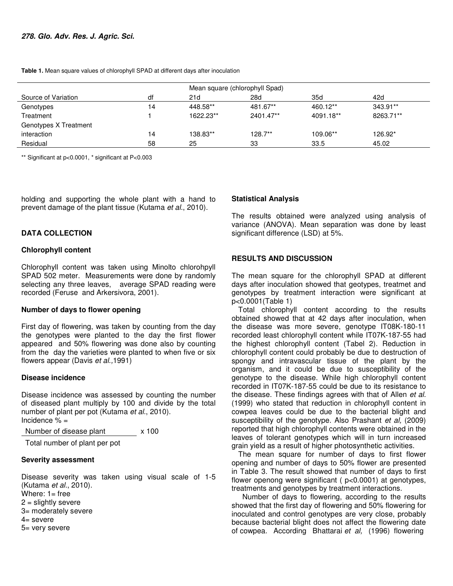**Table 1.** Mean square values of chlorophyll SPAD at different days after inoculation

| Mean square (chlorophyll Spad) |    |           |           |           |           |
|--------------------------------|----|-----------|-----------|-----------|-----------|
| Source of Variation            | df | 21d       | 28d       | 35d       | 42d       |
| Genotypes                      | 14 | 448.58**  | 481.67**  | 460.12**  | 343.91**  |
| Treatment                      |    | 1622.23** | 2401.47** | 4091.18** | 8263.71** |
| Genotypes X Treatment          |    |           |           |           |           |
| interaction                    | 14 | 138.83**  | $128.7**$ | 109.06**  | 126.92*   |
| Residual                       | 58 | 25        | 33        | 33.5      | 45.02     |

\*\* Significant at p<0.0001, \* significant at P<0.003

holding and supporting the whole plant with a hand to prevent damage of the plant tissue (Kutama et al., 2010).

## **DATA COLLECTION**

#### **Chlorophyll content**

Chlorophyll content was taken using Minolto chlorohpyll SPAD 502 meter. Measurements were done by randomly selecting any three leaves, average SPAD reading were recorded (Feruse and Arkersivora, 2001).

#### **Number of days to flower opening**

First day of flowering, was taken by counting from the day the genotypes were planted to the day the first flower appeared and 50% flowering was done also by counting from the day the varieties were planted to when five or six flowers appear (Davis et al.,1991)

#### **Disease incidence**

Disease incidence was assessed by counting the number of diseased plant multiply by 100 and divide by the total number of plant per pot (Kutama et al., 2010). Incidence % =

Number of disease plant x 100

Total number of plant per pot

## **Severity assessment**

Disease severity was taken using visual scale of 1-5 (Kutama et al., 2010). Where:  $1 =$  free  $2 =$  slightly severe 3= moderately severe 4= severe 5= very severe

## **Statistical Analysis**

The results obtained were analyzed using analysis of variance (ANOVA). Mean separation was done by least significant difference (LSD) at 5%.

## **RESULTS AND DISCUSSION**

The mean square for the chlorophyll SPAD at different days after inoculation showed that geotypes, treatmet and genotypes by treatment interaction were significant at p<0.0001(Table 1)

Total chlorophyll content according to the results obtained showed that at 42 days after inoculation, when the disease was more severe, genotype IT08K-180-11 recorded least chlorophyll content while IT07K-187-55 had the highest chlorophyll content (Tabel 2). Reduction in chlorophyll content could probably be due to destruction of spongy and intravascular tissue of the plant by the organism, and it could be due to susceptibility of the genotype to the disease. While high chlorophyll content recorded in IT07K-187-55 could be due to its resistance to the disease. These findings agrees with that of Allen et al. (1999) who stated that reduction in chlorophyll content in cowpea leaves could be due to the bacterial blight and susceptibility of the genotype. Also Prashant et al, (2009) reported that high chlorophyll contents were obtained in the leaves of tolerant genotypes which will in turn increased grain yield as a result of higher photosynthetic activities.

The mean square for number of days to first flower opening and number of days to 50% flower are presented in Table 3. The result showed that number of days to first flower openong were significant ( p<0.0001) at genotypes, treatments and genotypes by treatment interactions.

 Number of days to flowering, according to the results showed that the first day of flowering and 50% flowering for inoculated and control genotypes are very close, probably because bacterial blight does not affect the flowering date of cowpea. According Bhattarai et al, (1996) flowering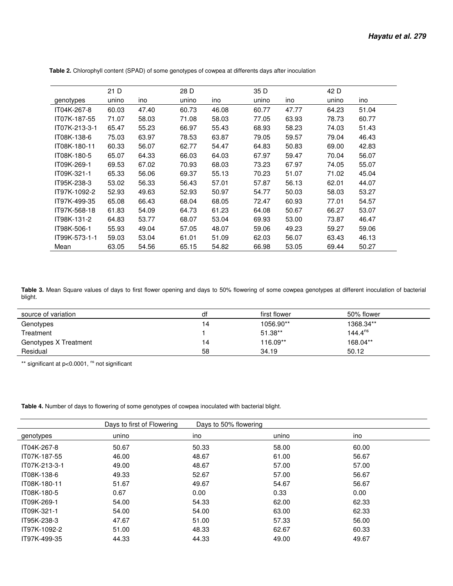|               | 21 D  |       | 28 D  |       | 35 D  |       | 42 D  |       |
|---------------|-------|-------|-------|-------|-------|-------|-------|-------|
| genotypes     | unino | ino   | unino | ino   | unino | ino   | unino | ino   |
| IT04K-267-8   | 60.03 | 47.40 | 60.73 | 46.08 | 60.77 | 47.77 | 64.23 | 51.04 |
| IT07K-187-55  | 71.07 | 58.03 | 71.08 | 58.03 | 77.05 | 63.93 | 78.73 | 60.77 |
| IT07K-213-3-1 | 65.47 | 55.23 | 66.97 | 55.43 | 68.93 | 58.23 | 74.03 | 51.43 |
| IT08K-138-6   | 75.03 | 63.97 | 78.53 | 63.87 | 79.05 | 59.57 | 79.04 | 46.43 |
| IT08K-180-11  | 60.33 | 56.07 | 62.77 | 54.47 | 64.83 | 50.83 | 69.00 | 42.83 |
| IT08K-180-5   | 65.07 | 64.33 | 66.03 | 64.03 | 67.97 | 59.47 | 70.04 | 56.07 |
| IT09K-269-1   | 69.53 | 67.02 | 70.93 | 68.03 | 73.23 | 67.97 | 74.05 | 55.07 |
| IT09K-321-1   | 65.33 | 56.06 | 69.37 | 55.13 | 70.23 | 51.07 | 71.02 | 45.04 |
| IT95K-238-3   | 53.02 | 56.33 | 56.43 | 57.01 | 57.87 | 56.13 | 62.01 | 44.07 |
| IT97K-1092-2  | 52.93 | 49.63 | 52.93 | 50.97 | 54.77 | 50.03 | 58.03 | 53.27 |
| IT97K-499-35  | 65.08 | 66.43 | 68.04 | 68.05 | 72.47 | 60.93 | 77.01 | 54.57 |
| IT97K-568-18  | 61.83 | 54.09 | 64.73 | 61.23 | 64.08 | 50.67 | 66.27 | 53.07 |
| IT98K-131-2   | 64.83 | 53.77 | 68.07 | 53.04 | 69.93 | 53.00 | 73.87 | 46.47 |
| IT98K-506-1   | 55.93 | 49.04 | 57.05 | 48.07 | 59.06 | 49.23 | 59.27 | 59.06 |
| IT99K-573-1-1 | 59.03 | 53.04 | 61.01 | 51.09 | 62.03 | 56.07 | 63.43 | 46.13 |
| Mean          | 63.05 | 54.56 | 65.15 | 54.82 | 66.98 | 53.05 | 69.44 | 50.27 |

 **Table 2.** Chlorophyll content (SPAD) of some genotypes of cowpea at differents days after inoculation

**Table 3.** Mean Square values of days to first flower opening and days to 50% flowering of some cowpea genotypes at different inoculation of bacterial blight.

| source of variation   | df | first flower | 50% flower   |
|-----------------------|----|--------------|--------------|
| Genotypes             | 4  | 1056.90**    | 1368.34**    |
| Treatment             |    | 51.38**      | $144.4^{ns}$ |
| Genotypes X Treatment | 4  | 116.09**     | 168.04**     |
| Residual              | 58 | 34.19        | 50.12        |

\*\* significant at p<0.0001, <sup>ns</sup> not significant

**Table 4.** Number of days to flowering of some genotypes of cowpea inoculated with bacterial blight.

|               | Days to first of Flowering | Days to 50% flowering |       |       |
|---------------|----------------------------|-----------------------|-------|-------|
| genotypes     | unino                      | ino                   | unino | ino   |
| IT04K-267-8   | 50.67                      | 50.33                 | 58.00 | 60.00 |
| IT07K-187-55  | 46.00                      | 48.67                 | 61.00 | 56.67 |
| IT07K-213-3-1 | 49.00                      | 48.67                 | 57.00 | 57.00 |
| IT08K-138-6   | 49.33                      | 52.67                 | 57.00 | 56.67 |
| IT08K-180-11  | 51.67                      | 49.67                 | 54.67 | 56.67 |
| IT08K-180-5   | 0.67                       | 0.00                  | 0.33  | 0.00  |
| IT09K-269-1   | 54.00                      | 54.33                 | 62.00 | 62.33 |
| IT09K-321-1   | 54.00                      | 54.00                 | 63.00 | 62.33 |
| IT95K-238-3   | 47.67                      | 51.00                 | 57.33 | 56.00 |
| IT97K-1092-2  | 51.00                      | 48.33                 | 62.67 | 60.33 |
| IT97K-499-35  | 44.33                      | 44.33                 | 49.00 | 49.67 |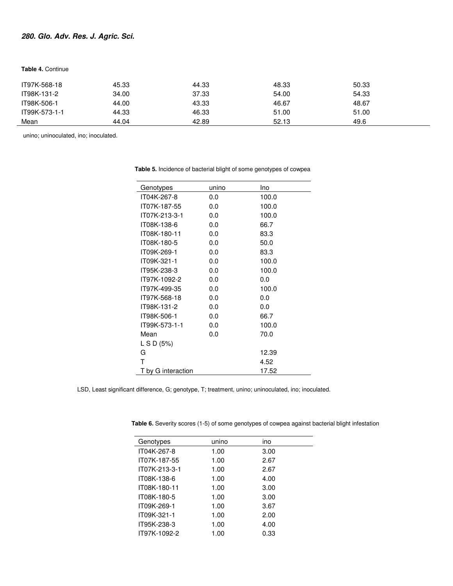# **280. Glo. Adv. Res. J. Agric. Sci.**

## **Table 4.** Continue

| IT97K-568-18  | 45.33 | 44.33 | 48.33 | 50.33 |  |
|---------------|-------|-------|-------|-------|--|
| IT98K-131-2   | 34.00 | 37.33 | 54.00 | 54.33 |  |
| IT98K-506-1   | 44.00 | 43.33 | 46.67 | 48.67 |  |
| IT99K-573-1-1 | 44.33 | 46.33 | 51.00 | 51.00 |  |
| Mean          | 44.04 | 42.89 | 52.13 | 49.6  |  |

unino; uninoculated, ino; inoculated.

| Genotypes          | unino | Ino   |
|--------------------|-------|-------|
| IT04K-267-8        | 0.0   | 100.0 |
| IT07K-187-55       | 0.0   | 100.0 |
| IT07K-213-3-1      | 0.0   | 100.0 |
| IT08K-138-6        | 0.0   | 66.7  |
| IT08K-180-11       | 0.0   | 83.3  |
| IT08K-180-5        | 0.0   | 50.0  |
| IT09K-269-1        | 0.0   | 83.3  |
| IT09K-321-1        | 0.0   | 100.0 |
| IT95K-238-3        | 0.0   | 100.0 |
| IT97K-1092-2       | 0.0   | 0.0   |
| IT97K-499-35       | 0.0   | 100.0 |
| IT97K-568-18       | 0.0   | 0.0   |
| IT98K-131-2        | 0.0   | 0.0   |
| IT98K-506-1        | 0.0   | 66.7  |
| IT99K-573-1-1      | 0.0   | 100.0 |
| Mean               | 0.0   | 70.0  |
| LS D (5%)          |       |       |
| G                  |       | 12.39 |
| т                  |       | 4.52  |
| T by G interaction |       | 17.52 |

 **Table 5.** Incidence of bacterial blight of some genotypes of cowpea

LSD, Least significant difference, G; genotype, T; treatment, unino; uninoculated, ino; inoculated.

 $\overline{\phantom{0}}$ 

Ĭ.

| Genotypes     | unino | ino  |  |
|---------------|-------|------|--|
| IT04K-267-8   | 1.00  | 3.00 |  |
| IT07K-187-55  | 1.00  | 2.67 |  |
| IT07K-213-3-1 | 1.00  | 2.67 |  |
| IT08K-138-6   | 1.00  | 4.00 |  |
| IT08K-180-11  | 1.00  | 3.00 |  |
| IT08K-180-5   | 1.00  | 3.00 |  |
| IT09K-269-1   | 1.00  | 3.67 |  |
| IT09K-321-1   | 1.00  | 2.00 |  |
| IT95K-238-3   | 1.00  | 4.00 |  |
| IT97K-1092-2  | 1.00  | 0.33 |  |

 **Table 6.** Severity scores (1-5) of some genotypes of cowpea against bacterial blight infestation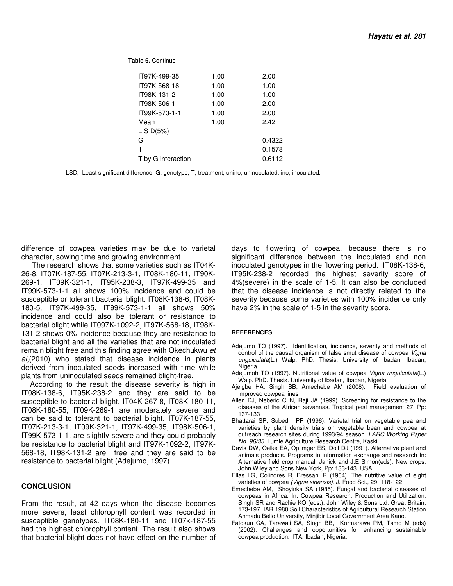**Table 6.** Continue

| IT97K-499-35       | 1.00 | 2.00   |  |
|--------------------|------|--------|--|
| IT97K-568-18       | 1.00 | 1.00   |  |
| IT98K-131-2        | 1.00 | 1.00   |  |
| IT98K-506-1        | 1.00 | 2.00   |  |
| IT99K-573-1-1      | 1.00 | 2.00   |  |
| Mean               | 1.00 | 2.42   |  |
| L S $D(5%)$        |      |        |  |
| G                  |      | 0.4322 |  |
| $\mathsf{T}$       |      | 0.1578 |  |
| T by G interaction |      | 0.6112 |  |

LSD, Least significant difference, G; genotype, T; treatment, unino; uninoculated, ino; inoculated.

difference of cowpea varieties may be due to varietal character, sowing time and growing environment

 The research shows that some varieties such as IT04K-26-8, IT07K-187-55, IT07K-213-3-1, IT08K-180-11, IT90K-269-1, IT09K-321-1, IT95K-238-3, IT97K-499-35 and IT99K-573-1-1 all shows 100% incidence and could be susceptible or tolerant bacterial blight. IT08K-138-6, IT08K-180-5, IT97K-499-35, IT99K-573-1-1 all shows 50% incidence and could also be tolerant or resistance to bacterial blight while IT097K-1092-2, IT97K-568-18, IT98K-131-2 shows 0% incidence because they are resistance to bacterial blight and all the varieties that are not inoculated remain blight free and this finding agree with Okechukwu et al,(2010) who stated that disease incidence in plants derived from inoculated seeds increased with time while plants from uninoculated seeds remained blight-free.

 According to the result the disease severity is high in IT08K-138-6, IT95K-238-2 and they are said to be susceptible to bacterial blight. IT04K-267-8, IT08K-180-11, IT08K-180-55, IT09K-269-1 are moderately severe and can be said to tolerant to bacterial blight. IT07K-187-55, IT07K-213-3-1, IT09K-321-1, IT97K-499-35, IT98K-506-1, IT99K-573-1-1, are slightly severe and they could probably be resistance to bacterial blight and IT97K-1092-2, IT97K-568-18, IT98K-131-2 are free and they are said to be resistance to bacterial blight (Adejumo, 1997).

#### **CONCLUSION**

From the result, at 42 days when the disease becomes more severe, least chlorophyll content was recorded in susceptible genotypes. IT08K-180-11 and IT07k-187-55 had the highest chlorophyll content. The result also shows that bacterial blight does not have effect on the number of days to flowering of cowpea, because there is no significant difference between the inoculated and non inoculated genotypes in the flowering period. IT08K-138-6, IT95K-238-2 recorded the highest severity score of 4%(severe) in the scale of 1-5. It can also be concluded that the disease incidence is not directly related to the severity because some varieties with 100% incidence only have 2% in the scale of 1-5 in the severity score.

#### **REFERENCES**

- Adejumo TO (1997). Identification, incidence, severity and methods of control of the causal organism of false smut disease of cowpea Vigna unguiculata(L.) Walp. PhD. Thesis. University of Ibadan, Ibadan, Nigeria.
- Adejumoh TO (1997). Nutritional value of cowpea Vigna unguiculata(L.) Walp. PhD. Thesis. University of Ibadan, Ibadan, Nigeria
- Ajeigbe HA, Singh BB, Amechebe AM (2008). Field evaluation of improved cowpea lines
- Allen DJ, Neberic CLN, Raji JA (1999). Screening for resistance to the diseases of the African savannas. Tropical pest management 27: Pp: 137-133
- Bhattarai SP, Subedi PP (1996). Varietal trial on vegetable pea and varieties by plant density trials on vegetable bean and cowpea at outreach research sites during 1993/94 season. LARC Working Paper No. 96/35. Lumle Agriculture Research Centre, Kaski.
- Davis DW, Oelke EA, Oplimger ES, Doll DJ (1991). Alternative plant and animals products. Programs in information exchange and research In: Alternative field crop manual. Janick and J.E Simon(eds). New crops. John Wiley and Sons New York, Pp: 133-143. USA.
- Ellas LG, Colindres R, Bressani R (1964). The nutritive value of eight varieties of cowpea (Vigna sinensis). J. Food Sci., 29: 118-122.
- Emechebe AM, Shoyinka SA (1985). Fungal and bacterial diseases of cowpeas in Africa. In: Cowpea Research, Production and Utilization. Singh SR and Rachie KO (eds.). John Wiley & Sons Ltd. Great Britain: 173-197. IAR 1980 Soil Characteristics of Agricultural Research Station Ahmadu Bello University, Minjibir Local Government Area Kano.
- Fatokun CA, Tarawali SA, Singh BB, Kormarawa PM, Tamo M (eds) (2002). Challenges and opportunities for enhancing sustainable cowpea production. IITA. Ibadan, Nigeria.